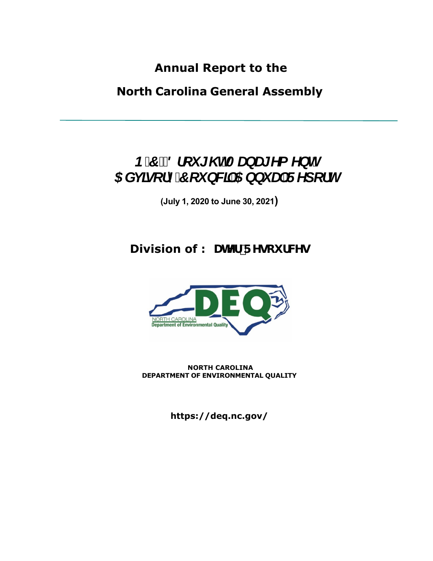**Annual Report to the** 

**North Carolina General Assembly**

# *B'7"8fci [\hAUbU[YaYbh* 5 Xj ]gcfm7 ci bWJ 5 bbi U F Ydcfh

**(July 1, 2020 to June 30, 2021)** 

# **Division of K UHYf F Ygci fWg**



**NORTH CAROLINA DEPARTMENT OF ENVIRONMENTAL QUALITY**

**https://deq.nc.gov/**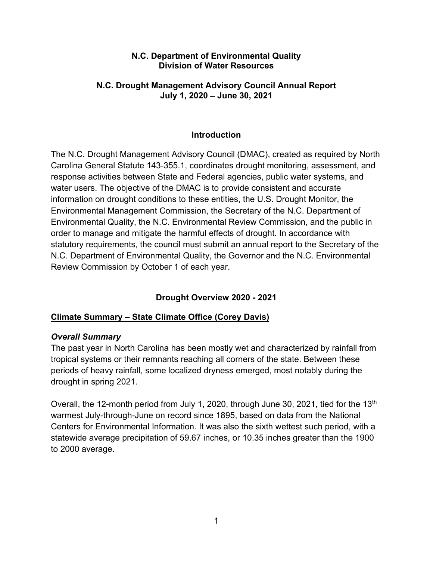#### **N.C. Department of Environmental Quality Division of Water Resources**

#### **N.C. Drought Management Advisory Council Annual Report July 1, 2020** − **June 30, 2021**

# **Introduction**

The N.C. Drought Management Advisory Council (DMAC), created as required by North Carolina General Statute 143-355.1, coordinates drought monitoring, assessment, and response activities between State and Federal agencies, public water systems, and water users. The objective of the DMAC is to provide consistent and accurate information on drought conditions to these entities, the U.S. Drought Monitor, the Environmental Management Commission, the Secretary of the N.C. Department of Environmental Quality, the N.C. Environmental Review Commission, and the public in order to manage and mitigate the harmful effects of drought. In accordance with statutory requirements, the council must submit an annual report to the Secretary of the N.C. Department of Environmental Quality, the Governor and the N.C. Environmental Review Commission by October 1 of each year.

# **Drought Overview 2020 - 2021**

# **Climate Summary – State Climate Office (Corey Davis)**

#### *Overall Summary*

The past year in North Carolina has been mostly wet and characterized by rainfall from tropical systems or their remnants reaching all corners of the state. Between these periods of heavy rainfall, some localized dryness emerged, most notably during the drought in spring 2021.

Overall, the 12-month period from July 1, 2020, through June 30, 2021, tied for the 13<sup>th</sup> warmest July-through-June on record since 1895, based on data from the National Centers for Environmental Information. It was also the sixth wettest such period, with a statewide average precipitation of 59.67 inches, or 10.35 inches greater than the 1900 to 2000 average.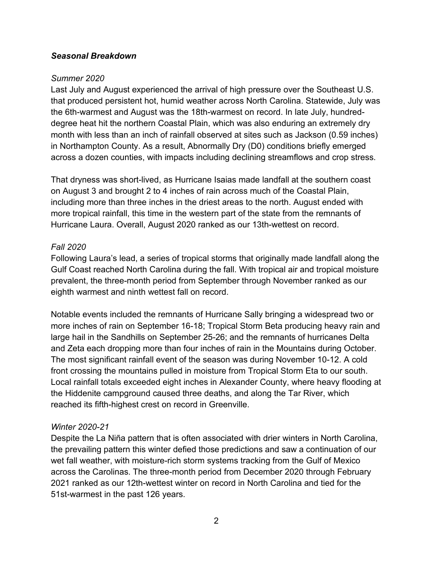#### *Seasonal Breakdown*

#### *Summer 2020*

Last July and August experienced the arrival of high pressure over the Southeast U.S. that produced persistent hot, humid weather across North Carolina. Statewide, July was the 6th-warmest and August was the 18th-warmest on record. In late July, hundreddegree heat hit the northern Coastal Plain, which was also enduring an extremely dry month with less than an inch of rainfall observed at sites such as Jackson (0.59 inches) in Northampton County. As a result, Abnormally Dry (D0) conditions briefly emerged across a dozen counties, with impacts including declining streamflows and crop stress.

That dryness was short-lived, as Hurricane Isaias made landfall at the southern coast on August 3 and brought 2 to 4 inches of rain across much of the Coastal Plain, including more than three inches in the driest areas to the north. August ended with more tropical rainfall, this time in the western part of the state from the remnants of Hurricane Laura. Overall, August 2020 ranked as our 13th-wettest on record.

#### *Fall 2020*

Following Laura's lead, a series of tropical storms that originally made landfall along the Gulf Coast reached North Carolina during the fall. With tropical air and tropical moisture prevalent, the three-month period from September through November ranked as our eighth warmest and ninth wettest fall on record.

Notable events included the remnants of Hurricane Sally bringing a widespread two or more inches of rain on September 16-18; Tropical Storm Beta producing heavy rain and large hail in the Sandhills on September 25-26; and the remnants of hurricanes Delta and Zeta each dropping more than four inches of rain in the Mountains during October. The most significant rainfall event of the season was during November 10-12. A cold front crossing the mountains pulled in moisture from Tropical Storm Eta to our south. Local rainfall totals exceeded eight inches in Alexander County, where heavy flooding at the Hiddenite campground caused three deaths, and along the Tar River, which reached its fifth-highest crest on record in Greenville.

#### *Winter 2020-21*

Despite the La Niña pattern that is often associated with drier winters in North Carolina, the prevailing pattern this winter defied those predictions and saw a continuation of our wet fall weather, with moisture-rich storm systems tracking from the Gulf of Mexico across the Carolinas. The three-month period from December 2020 through February 2021 ranked as our 12th-wettest winter on record in North Carolina and tied for the 51st-warmest in the past 126 years.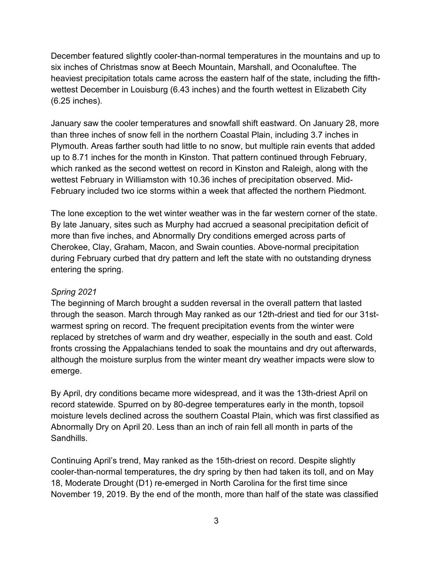December featured slightly cooler-than-normal temperatures in the mountains and up to six inches of Christmas snow at Beech Mountain, Marshall, and Oconaluftee. The heaviest precipitation totals came across the eastern half of the state, including the fifthwettest December in Louisburg (6.43 inches) and the fourth wettest in Elizabeth City (6.25 inches).

January saw the cooler temperatures and snowfall shift eastward. On January 28, more than three inches of snow fell in the northern Coastal Plain, including 3.7 inches in Plymouth. Areas farther south had little to no snow, but multiple rain events that added up to 8.71 inches for the month in Kinston. That pattern continued through February, which ranked as the second wettest on record in Kinston and Raleigh, along with the wettest February in Williamston with 10.36 inches of precipitation observed. Mid-February included two ice storms within a week that affected the northern Piedmont.

The lone exception to the wet winter weather was in the far western corner of the state. By late January, sites such as Murphy had accrued a seasonal precipitation deficit of more than five inches, and Abnormally Dry conditions emerged across parts of Cherokee, Clay, Graham, Macon, and Swain counties. Above-normal precipitation during February curbed that dry pattern and left the state with no outstanding dryness entering the spring.

#### *Spring 2021*

The beginning of March brought a sudden reversal in the overall pattern that lasted through the season. March through May ranked as our 12th-driest and tied for our 31stwarmest spring on record. The frequent precipitation events from the winter were replaced by stretches of warm and dry weather, especially in the south and east. Cold fronts crossing the Appalachians tended to soak the mountains and dry out afterwards, although the moisture surplus from the winter meant dry weather impacts were slow to emerge.

By April, dry conditions became more widespread, and it was the 13th-driest April on record statewide. Spurred on by 80-degree temperatures early in the month, topsoil moisture levels declined across the southern Coastal Plain, which was first classified as Abnormally Dry on April 20. Less than an inch of rain fell all month in parts of the **Sandhills** 

Continuing April's trend, May ranked as the 15th-driest on record. Despite slightly cooler-than-normal temperatures, the dry spring by then had taken its toll, and on May 18, Moderate Drought (D1) re-emerged in North Carolina for the first time since November 19, 2019. By the end of the month, more than half of the state was classified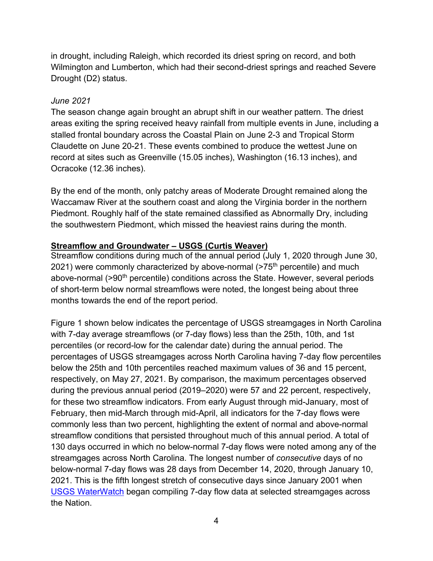in drought, including Raleigh, which recorded its driest spring on record, and both Wilmington and Lumberton, which had their second-driest springs and reached Severe Drought (D2) status.

# *June 2021*

The season change again brought an abrupt shift in our weather pattern. The driest areas exiting the spring received heavy rainfall from multiple events in June, including a stalled frontal boundary across the Coastal Plain on June 2-3 and Tropical Storm Claudette on June 20-21. These events combined to produce the wettest June on record at sites such as Greenville (15.05 inches), Washington (16.13 inches), and Ocracoke (12.36 inches).

By the end of the month, only patchy areas of Moderate Drought remained along the Waccamaw River at the southern coast and along the Virginia border in the northern Piedmont. Roughly half of the state remained classified as Abnormally Dry, including the southwestern Piedmont, which missed the heaviest rains during the month.

# **Streamflow and Groundwater – USGS (Curtis Weaver)**

Streamflow conditions during much of the annual period (July 1, 2020 through June 30, 2021) were commonly characterized by above-normal (>75<sup>th</sup> percentile) and much above-normal (>90<sup>th</sup> percentile) conditions across the State. However, several periods of short-term below normal streamflows were noted, the longest being about three months towards the end of the report period.

Figure 1 shown below indicates the percentage of USGS streamgages in North Carolina with 7-day average streamflows (or 7-day flows) less than the 25th, 10th, and 1st percentiles (or record-low for the calendar date) during the annual period. The percentages of USGS streamgages across North Carolina having 7-day flow percentiles below the 25th and 10th percentiles reached maximum values of 36 and 15 percent, respectively, on May 27, 2021. By comparison, the maximum percentages observed during the previous annual period (2019–2020) were 57 and 22 percent, respectively, for these two streamflow indicators. From early August through mid-January, most of February, then mid-March through mid-April, all indicators for the 7-day flows were commonly less than two percent, highlighting the extent of normal and above-normal streamflow conditions that persisted throughout much of this annual period. A total of 130 days occurred in which no below-normal 7-day flows were noted among any of the streamgages across North Carolina. The longest number of *consecutive* days of no below-normal 7-day flows was 28 days from December 14, 2020, through January 10, 2021. This is the fifth longest stretch of consecutive days since January 2001 when [USGS WaterWatch](https://waterwatch.usgs.gov/) began compiling 7-day flow data at selected streamgages across the Nation.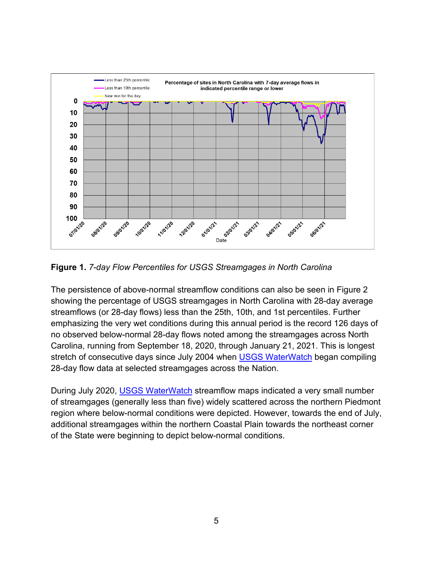

**Figure 1.** *7-day Flow Percentiles for USGS Streamgages in North Carolina*

The persistence of above-normal streamflow conditions can also be seen in Figure 2 showing the percentage of USGS streamgages in North Carolina with 28-day average streamflows (or 28-day flows) less than the 25th, 10th, and 1st percentiles. Further emphasizing the very wet conditions during this annual period is the record 126 days of no observed below-normal 28-day flows noted among the streamgages across North Carolina, running from September 18, 2020, through January 21, 2021. This is longest stretch of consecutive days since July 2004 when **USGS WaterWatch** began compiling 28-day flow data at selected streamgages across the Nation.

During July 2020, [USGS WaterWatch](https://waterwatch.usgs.gov/) streamflow maps indicated a very small number of streamgages (generally less than five) widely scattered across the northern Piedmont region where below-normal conditions were depicted. However, towards the end of July, additional streamgages within the northern Coastal Plain towards the northeast corner of the State were beginning to depict below-normal conditions.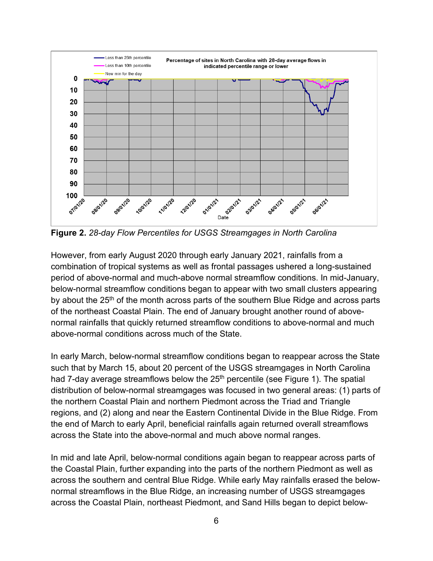

**Figure 2.** *28-day Flow Percentiles for USGS Streamgages in North Carolina*

However, from early August 2020 through early January 2021, rainfalls from a combination of tropical systems as well as frontal passages ushered a long-sustained period of above-normal and much-above normal streamflow conditions. In mid-January, below-normal streamflow conditions began to appear with two small clusters appearing by about the  $25<sup>th</sup>$  of the month across parts of the southern Blue Ridge and across parts of the northeast Coastal Plain. The end of January brought another round of abovenormal rainfalls that quickly returned streamflow conditions to above-normal and much above-normal conditions across much of the State.

In early March, below-normal streamflow conditions began to reappear across the State such that by March 15, about 20 percent of the USGS streamgages in North Carolina had 7-day average streamflows below the 25<sup>th</sup> percentile (see Figure 1). The spatial distribution of below-normal streamgages was focused in two general areas: (1) parts of the northern Coastal Plain and northern Piedmont across the Triad and Triangle regions, and (2) along and near the Eastern Continental Divide in the Blue Ridge. From the end of March to early April, beneficial rainfalls again returned overall streamflows across the State into the above-normal and much above normal ranges.

In mid and late April, below-normal conditions again began to reappear across parts of the Coastal Plain, further expanding into the parts of the northern Piedmont as well as across the southern and central Blue Ridge. While early May rainfalls erased the belownormal streamflows in the Blue Ridge, an increasing number of USGS streamgages across the Coastal Plain, northeast Piedmont, and Sand Hills began to depict below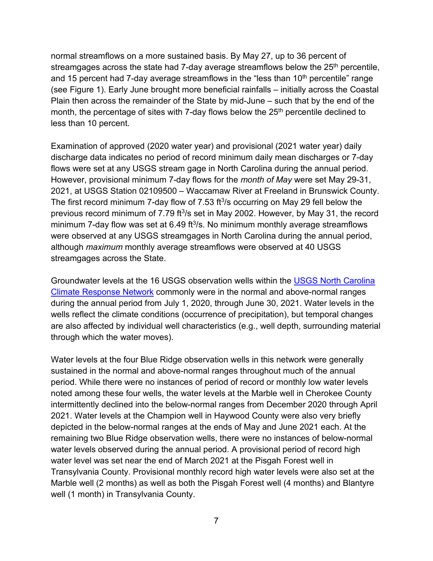normal streamflows on a more sustained basis. By May 27, up to 36 percent of streamgages across the state had 7-day average streamflows below the  $25<sup>th</sup>$  percentile, and 15 percent had 7-day average streamflows in the "less than  $10<sup>th</sup>$  percentile" range (see Figure 1). Early June brought more beneficial rainfalls – initially across the Coastal Plain then across the remainder of the State by mid-June – such that by the end of the month, the percentage of sites with 7-day flows below the 25<sup>th</sup> percentile declined to less than 10 percent.

Examination of approved (2020 water year) and provisional (2021 water year) daily discharge data indicates no period of record minimum daily mean discharges or 7-day flows were set at any USGS stream gage in North Carolina during the annual period. However, provisional minimum 7-day flows for the *month of May* were set May 29-31, 2021, at USGS Station 02109500 – Waccamaw River at Freeland in Brunswick County. The first record minimum 7-day flow of 7.53 ft $\frac{3}{s}$  occurring on May 29 fell below the previous record minimum of 7.79 ft3/s set in May 2002. However, by May 31, the record minimum 7-day flow was set at 6.49 ft<sup>3</sup>/s. No minimum monthly average streamflows were observed at any USGS streamgages in North Carolina during the annual period, although *maximum* monthly average streamflows were observed at 40 USGS streamgages across the State.

Groundwater levels at the 16 USGS observation wells within the [USGS North Carolina](https://groundwaterwatch.usgs.gov/NetMapT1L2.asp?ncd=crn&sc=37)  [Climate Response Network](https://groundwaterwatch.usgs.gov/NetMapT1L2.asp?ncd=crn&sc=37) commonly were in the normal and above-normal ranges during the annual period from July 1, 2020, through June 30, 2021. Water levels in the wells reflect the climate conditions (occurrence of precipitation), but temporal changes are also affected by individual well characteristics (e.g., well depth, surrounding material through which the water moves).

Water levels at the four Blue Ridge observation wells in this network were generally sustained in the normal and above-normal ranges throughout much of the annual period. While there were no instances of period of record or monthly low water levels noted among these four wells, the water levels at the Marble well in Cherokee County intermittently declined into the below-normal ranges from December 2020 through April 2021. Water levels at the Champion well in Haywood County were also very briefly depicted in the below-normal ranges at the ends of May and June 2021 each. At the remaining two Blue Ridge observation wells, there were no instances of below-normal water levels observed during the annual period. A provisional period of record high water level was set near the end of March 2021 at the Pisgah Forest well in Transylvania County. Provisional monthly record high water levels were also set at the Marble well (2 months) as well as both the Pisgah Forest well (4 months) and Blantyre well (1 month) in Transylvania County.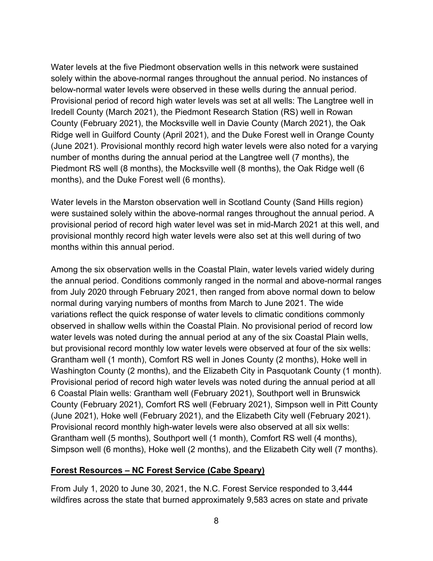Water levels at the five Piedmont observation wells in this network were sustained solely within the above-normal ranges throughout the annual period. No instances of below-normal water levels were observed in these wells during the annual period. Provisional period of record high water levels was set at all wells: The Langtree well in Iredell County (March 2021), the Piedmont Research Station (RS) well in Rowan County (February 2021), the Mocksville well in Davie County (March 2021), the Oak Ridge well in Guilford County (April 2021), and the Duke Forest well in Orange County (June 2021). Provisional monthly record high water levels were also noted for a varying number of months during the annual period at the Langtree well (7 months), the Piedmont RS well (8 months), the Mocksville well (8 months), the Oak Ridge well (6 months), and the Duke Forest well (6 months).

Water levels in the Marston observation well in Scotland County (Sand Hills region) were sustained solely within the above-normal ranges throughout the annual period. A provisional period of record high water level was set in mid-March 2021 at this well, and provisional monthly record high water levels were also set at this well during of two months within this annual period.

Among the six observation wells in the Coastal Plain, water levels varied widely during the annual period. Conditions commonly ranged in the normal and above-normal ranges from July 2020 through February 2021, then ranged from above normal down to below normal during varying numbers of months from March to June 2021. The wide variations reflect the quick response of water levels to climatic conditions commonly observed in shallow wells within the Coastal Plain. No provisional period of record low water levels was noted during the annual period at any of the six Coastal Plain wells, but provisional record monthly low water levels were observed at four of the six wells: Grantham well (1 month), Comfort RS well in Jones County (2 months), Hoke well in Washington County (2 months), and the Elizabeth City in Pasquotank County (1 month). Provisional period of record high water levels was noted during the annual period at all 6 Coastal Plain wells: Grantham well (February 2021), Southport well in Brunswick County (February 2021), Comfort RS well (February 2021), Simpson well in Pitt County (June 2021), Hoke well (February 2021), and the Elizabeth City well (February 2021). Provisional record monthly high-water levels were also observed at all six wells: Grantham well (5 months), Southport well (1 month), Comfort RS well (4 months), Simpson well (6 months), Hoke well (2 months), and the Elizabeth City well (7 months).

#### **Forest Resources – NC Forest Service (Cabe Speary)**

From July 1, 2020 to June 30, 2021, the N.C. Forest Service responded to 3,444 wildfires across the state that burned approximately 9,583 acres on state and private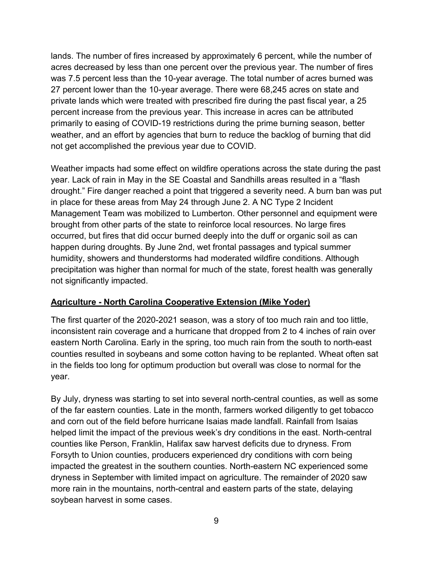lands. The number of fires increased by approximately 6 percent, while the number of acres decreased by less than one percent over the previous year. The number of fires was 7.5 percent less than the 10-year average. The total number of acres burned was 27 percent lower than the 10-year average. There were 68,245 acres on state and private lands which were treated with prescribed fire during the past fiscal year, a 25 percent increase from the previous year. This increase in acres can be attributed primarily to easing of COVID-19 restrictions during the prime burning season, better weather, and an effort by agencies that burn to reduce the backlog of burning that did not get accomplished the previous year due to COVID.

Weather impacts had some effect on wildfire operations across the state during the past year. Lack of rain in May in the SE Coastal and Sandhills areas resulted in a "flash drought." Fire danger reached a point that triggered a severity need. A burn ban was put in place for these areas from May 24 through June 2. A NC Type 2 Incident Management Team was mobilized to Lumberton. Other personnel and equipment were brought from other parts of the state to reinforce local resources. No large fires occurred, but fires that did occur burned deeply into the duff or organic soil as can happen during droughts. By June 2nd, wet frontal passages and typical summer humidity, showers and thunderstorms had moderated wildfire conditions. Although precipitation was higher than normal for much of the state, forest health was generally not significantly impacted.

#### **Agriculture - North Carolina Cooperative Extension (Mike Yoder)**

The first quarter of the 2020-2021 season, was a story of too much rain and too little, inconsistent rain coverage and a hurricane that dropped from 2 to 4 inches of rain over eastern North Carolina. Early in the spring, too much rain from the south to north-east counties resulted in soybeans and some cotton having to be replanted. Wheat often sat in the fields too long for optimum production but overall was close to normal for the year.

By July, dryness was starting to set into several north-central counties, as well as some of the far eastern counties. Late in the month, farmers worked diligently to get tobacco and corn out of the field before hurricane Isaias made landfall. Rainfall from Isaias helped limit the impact of the previous week's dry conditions in the east. North-central counties like Person, Franklin, Halifax saw harvest deficits due to dryness. From Forsyth to Union counties, producers experienced dry conditions with corn being impacted the greatest in the southern counties. North-eastern NC experienced some dryness in September with limited impact on agriculture. The remainder of 2020 saw more rain in the mountains, north-central and eastern parts of the state, delaying soybean harvest in some cases.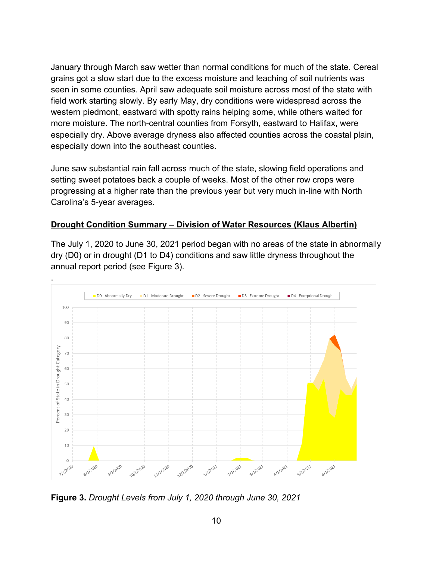January through March saw wetter than normal conditions for much of the state. Cereal grains got a slow start due to the excess moisture and leaching of soil nutrients was seen in some counties. April saw adequate soil moisture across most of the state with field work starting slowly. By early May, dry conditions were widespread across the western piedmont, eastward with spotty rains helping some, while others waited for more moisture. The north-central counties from Forsyth, eastward to Halifax, were especially dry. Above average dryness also affected counties across the coastal plain, especially down into the southeast counties.

June saw substantial rain fall across much of the state, slowing field operations and setting sweet potatoes back a couple of weeks. Most of the other row crops were progressing at a higher rate than the previous year but very much in-line with North Carolina's 5-year averages.

# **Drought Condition Summary – Division of Water Resources (Klaus Albertin)**

The July 1, 2020 to June 30, 2021 period began with no areas of the state in abnormally dry (D0) or in drought (D1 to D4) conditions and saw little dryness throughout the annual report period (see Figure 3).



**Figure 3.** *Drought Levels from July 1, 2020 through June 30, 2021*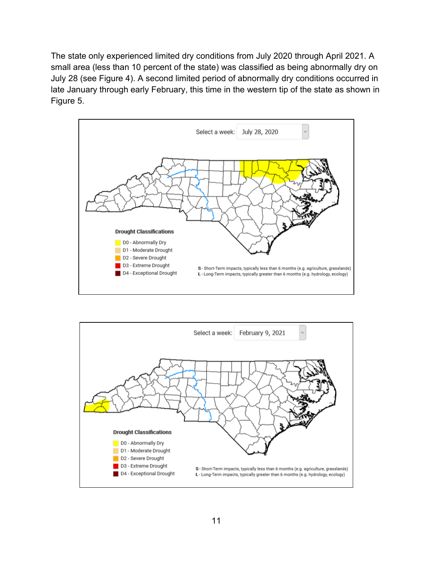The state only experienced limited dry conditions from July 2020 through April 2021. A small area (less than 10 percent of the state) was classified as being abnormally dry on July 28 (see Figure 4). A second limited period of abnormally dry conditions occurred in late January through early February, this time in the western tip of the state as shown in Figure 5.



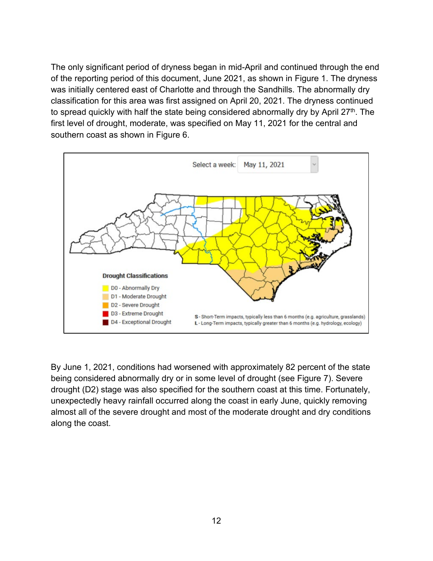The only significant period of dryness began in mid-April and continued through the end of the reporting period of this document, June 2021, as shown in Figure 1. The dryness was initially centered east of Charlotte and through the Sandhills. The abnormally dry classification for this area was first assigned on April 20, 2021. The dryness continued to spread quickly with half the state being considered abnormally dry by April 27<sup>th</sup>. The first level of drought, moderate, was specified on May 11, 2021 for the central and southern coast as shown in Figure 6.



By June 1, 2021, conditions had worsened with approximately 82 percent of the state being considered abnormally dry or in some level of drought (see Figure 7). Severe drought (D2) stage was also specified for the southern coast at this time. Fortunately, unexpectedly heavy rainfall occurred along the coast in early June, quickly removing almost all of the severe drought and most of the moderate drought and dry conditions along the coast.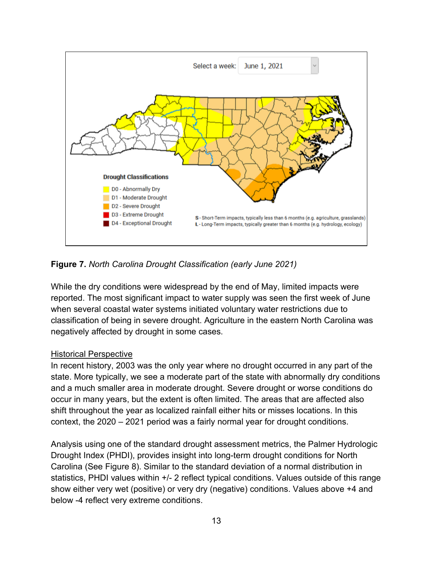

#### **Figure 7.** *North Carolina Drought Classification (early June 2021)*

While the dry conditions were widespread by the end of May, limited impacts were reported. The most significant impact to water supply was seen the first week of June when several coastal water systems initiated voluntary water restrictions due to classification of being in severe drought. Agriculture in the eastern North Carolina was negatively affected by drought in some cases.

#### Historical Perspective

In recent history, 2003 was the only year where no drought occurred in any part of the state. More typically, we see a moderate part of the state with abnormally dry conditions and a much smaller area in moderate drought. Severe drought or worse conditions do occur in many years, but the extent is often limited. The areas that are affected also shift throughout the year as localized rainfall either hits or misses locations. In this context, the 2020 – 2021 period was a fairly normal year for drought conditions.

Analysis using one of the standard drought assessment metrics, the Palmer Hydrologic Drought Index (PHDI), provides insight into long-term drought conditions for North Carolina (See Figure 8). Similar to the standard deviation of a normal distribution in statistics, PHDI values within +/- 2 reflect typical conditions. Values outside of this range show either very wet (positive) or very dry (negative) conditions. Values above +4 and below -4 reflect very extreme conditions.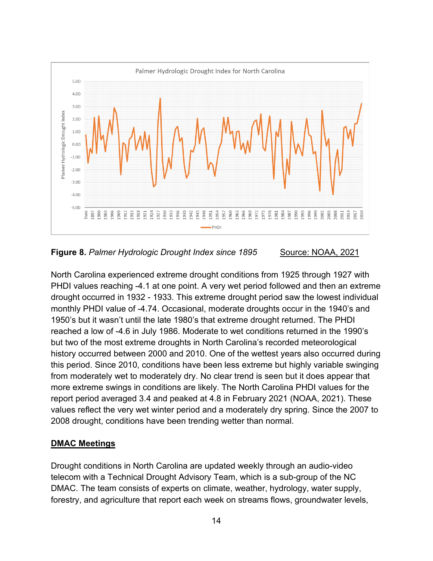

**Figure 8. Palmer Hydrologic Drought Index since 1895** Source: NOAA, 2021

North Carolina experienced extreme drought conditions from 1925 through 1927 with PHDI values reaching -4.1 at one point. A very wet period followed and then an extreme drought occurred in 1932 - 1933. This extreme drought period saw the lowest individual monthly PHDI value of -4.74. Occasional, moderate droughts occur in the 1940's and 1950's but it wasn't until the late 1980's that extreme drought returned. The PHDI reached a low of -4.6 in July 1986. Moderate to wet conditions returned in the 1990's but two of the most extreme droughts in North Carolina's recorded meteorological history occurred between 2000 and 2010. One of the wettest years also occurred during this period. Since 2010, conditions have been less extreme but highly variable swinging from moderately wet to moderately dry. No clear trend is seen but it does appear that more extreme swings in conditions are likely. The North Carolina PHDI values for the report period averaged 3.4 and peaked at 4.8 in February 2021 (NOAA, 2021). These values reflect the very wet winter period and a moderately dry spring. Since the 2007 to 2008 drought, conditions have been trending wetter than normal.

#### **DMAC Meetings**

Drought conditions in North Carolina are updated weekly through an audio-video telecom with a Technical Drought Advisory Team, which is a sub-group of the NC DMAC. The team consists of experts on climate, weather, hydrology, water supply, forestry, and agriculture that report each week on streams flows, groundwater levels,